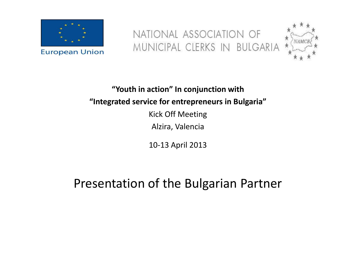

NATIONAL ASSOCIATION OF<br>MUNICIPAL CLERKS IN BULGARIA



**"Youth in action" In conjunction with "Integrated service for entrepreneurs in Bulgaria"**Kick Off MeetingAlzira, Valencia

10-13 April 2013

Presentation of the Bulgarian Partner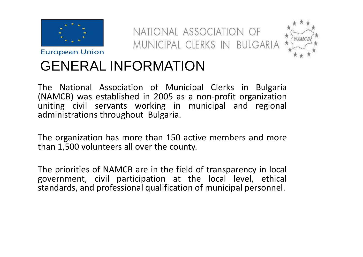

NATIONAL ASSOCIATION OF MUNICIPAL CLERKS IN BULGARIA



# GENERAL INFORMATION

The National Association of Municipal Clerks in Bulgaria (NAMCB) was established in <sup>2005</sup> as <sup>a</sup> non-profit organization uniting civil servants working in municipal and regional administrations throughout Bulgaria.

The organization has more than <sup>150</sup> active members and more than 1,500 volunteers all over the county.

The priorities of NAMCB are in the field of transparency in local government, civil participation at the local level, ethical standards, and professional qualification of municipal personnel.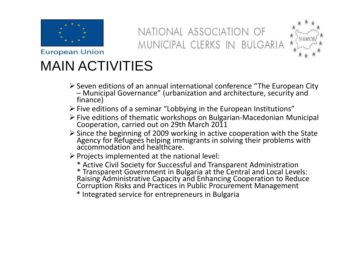

NATIONAL ASSOCIATION OF MUNICIPAL CLERKS IN BULGARIA



## MAIN ACTIVITIES

- $\triangleright$  Seven editions of an annual international conference "The European City<br>— Municipal Governance" (urbanization and architecture, security and – Municipal Governance" (urbanization and architecture, security and<br>finance)
- $\triangleright$  Five editions of a seminar "Lobbying in the European Institutions"
- Five editions of thematic workshops on Bulgarian-Macedonian Municipal Cooperation, carried out on 29th March 2011
- Since the beginning of 2009 working in active cooperation with the State Agency for Refugees helping immigrants in solving their problems with accommodation and healthcare.
- $\triangleright$  Projects implemented at the national level:
	-
	- \* Active Civil Society for Successful and Transparent Administration<br>\* Transparent Government in Bulgaria at the Central and Local Levels:<br>Raising Administrative Capacity and Enhancing Cooperation to Reduce<br>Corruption Risk
	- \* Integrated service for entrepreneurs in Bulgaria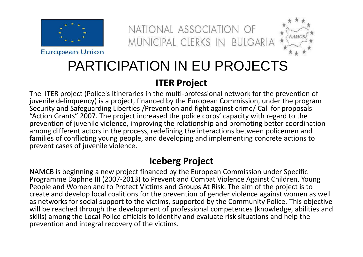

**European Union** 





## PARTICIPATION IN EU PROJECTS

#### **ITER Project**

The ITER project (Police's itineraries in the multi-professional network for the prevention of juvenile delinquency) is a project, financed by the European Commission, under the program Security and Safeguarding Liberties /Prevention and fight against crime/ Call for proposals "Action Grants" 2007. The project increased the police corps' capacity with regard to the prevention of juvenile violence, improving the relationship and promoting better coordination among different actors in the process, redefining the interactions between policemen and families of conflicting young people, and developing and implementing concrete actions to prevent cases of juvenile violence.

#### **Iceberg Project**

NAMCB is beginning a new project financed by the European Commission under Specific Programme Daphne III (2007-2013) to Prevent and Combat Violence Against Children, Young People and Women and to Protect Victims and Groups At Risk. The aim of the project is to create and develop local coalitions for the prevention of gender violence against women as well as networks for social support to the victims, supported by the Community Police. This objective will be reached through the development of professional competences (knowledge, abilities and skills) among the Local Police officials to identify and evaluate risk situations and help the prevention and integral recovery of the victims.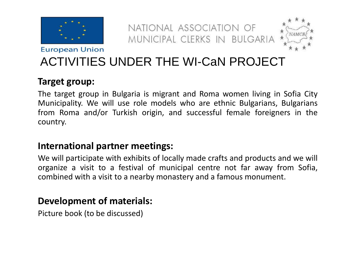

NATIONAL ASSOCIATION OF MUNICIPAL CLERKS IN BULGARIA



### ACTIVITIES UNDER THE WI-CaN PROJECT

#### **Target group:**

The target group in Bulgaria is migrant and Roma women living in Sofia City Municipality. We will use role models who are ethnic Bulgarians, Bulgarians from Roma and/or Turkish origin, and successful female foreigners in the country.

#### **International partner meetings:**

We will participate with exhibits of locally made crafts and products and we will organize <sup>a</sup> visit to <sup>a</sup> festival of municipal centre not far away from Sofia, combined with <sup>a</sup> visit to <sup>a</sup> nearby monastery and <sup>a</sup> famous monument.

#### **Development of materials:**

Picture book (to be discussed)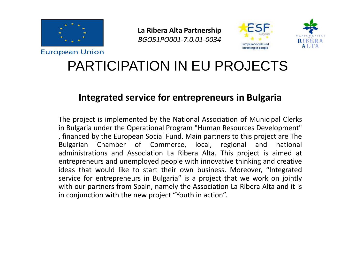

**La Ribera Alta Partnership***BGO51PO001-7.0.01-0034*





### PARTICIPATION IN EU PROJECTS

#### **Integrated service for entrepreneurs in Bulgaria**

The project is implemented by the National Association of Municipal Clerks in Bulgaria under the Operational Program "Human Resources Development" , financed by the European Social Fund. Main partners to this project are The Bulgarian Chamber of Commerce, local, regional administrations and Association La Ribera Alta. This project is aimed at entrepreneurs and unemployed people with innovative thinking and creative ideas that would like to start their own business. Moreover, "Integrated service for entrepreneurs in Bulgaria" is <sup>a</sup> project that we work on jointly with our partners from Spain, namely the Association La Ribera Alta and it is in conjunction with the new project "Youth in action".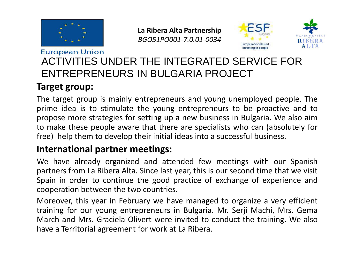

**La Ribera Alta Partnership***BGO51PO001-7.0.01-0034*





#### **European Union** ACTIVITIES UNDER THE INTEGRATED SERVICE FOR ENTREPRENEURS IN BULGARIA PROJECT

#### **Target group:**

The target group is mainly entrepreneurs and young unemployed people. The prime idea is to stimulate the young entrepreneurs to be proactive and to propose more strategies for setting up <sup>a</sup> new business in Bulgaria. We also aimto make these people aware that there are specialists who can (absolutely for free) help them to develop their initial ideas into <sup>a</sup> successful business.

#### **International partner meetings:**

We have already organized and attended few meetings with our Spanish partners from La Ribera Alta. Since last year, this is our second time that we visit Spain in order to continue the good practice of exchange of experience andcooperation between the two countries.

Moreover, this year in February we have managed to organize <sup>a</sup> very efficient training for our young entrepreneurs in Bulgaria. Mr. Serji Machi, Mrs. Gema March and Mrs. Graciela Olivert were invited to conduct the training. We alsohave <sup>a</sup> Territorial agreement for work at La Ribera.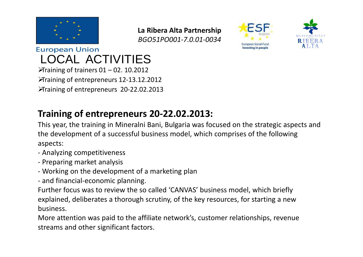

**La Ribera Alta Partnership***BGO51PO001-7.0.01-0034*





**European Union** LOCAL ACTIVITIES  $\blacktriangleright$ Training of trainers 01 – 02. 10.2012 Training of entrepreneurs 12-13.12.2012Training of entrepreneurs 20-22.02.2013

#### **Training of entrepreneurs 20-22.02.2013:**

This year, the training in Mineralni Bani, Bulgaria was focused on the strategic aspects and the development of a successful business model, which comprises of the following aspects:

- Analyzing competitiveness
- Preparing market analysis
- Working on the development of a marketing plan
- and financial-economic planning.

Further focus was to review the so called 'CANVAS' business model, which briefly explained, deliberates a thorough scrutiny, of the key resources, for starting a new business.

More attention was paid to the affiliate network's, customer relationships, revenue streams and other significant factors.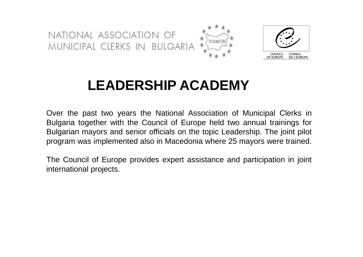NATIONAL ASSOCIATION OF MUNICIPAL CLERKS IN BULGARIA

![](_page_8_Picture_1.jpeg)

![](_page_8_Picture_2.jpeg)

### **LEADERSHIP ACADEMY**

Over the past two years the National Association of Municipal Clerks in Bulgaria together with the Council of Europe held two annual trainings for Bulgarian mayors and senior officials on the topic Leadership. The joint pilot program was implemented also in Macedonia where 25 mayors were trained.

The Council of Europe provides expert assistance and participation in joint international projects.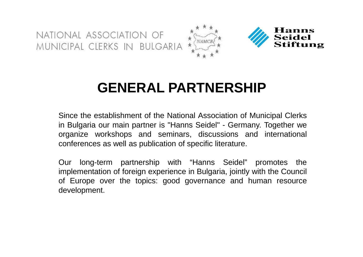NATIONAL ASSOCIATION OF MUNICIPAL CLERKS IN BULGARIA

![](_page_9_Picture_1.jpeg)

### **GENERAL PARTNERSHIP**

Since the establishment of the National Association of Municipal Clerks in Bulgaria our main partner is "Hanns Seidel" - Germany. Together we organize workshops and seminars, discussions and international conferences as well as publication of specific literature.

Our long-term partnership with "Hanns Seidel" promotes the implementation of foreign experience in Bulgaria, jointly with the Council of Europe over the topics: good governance and human resourcedevelopment.